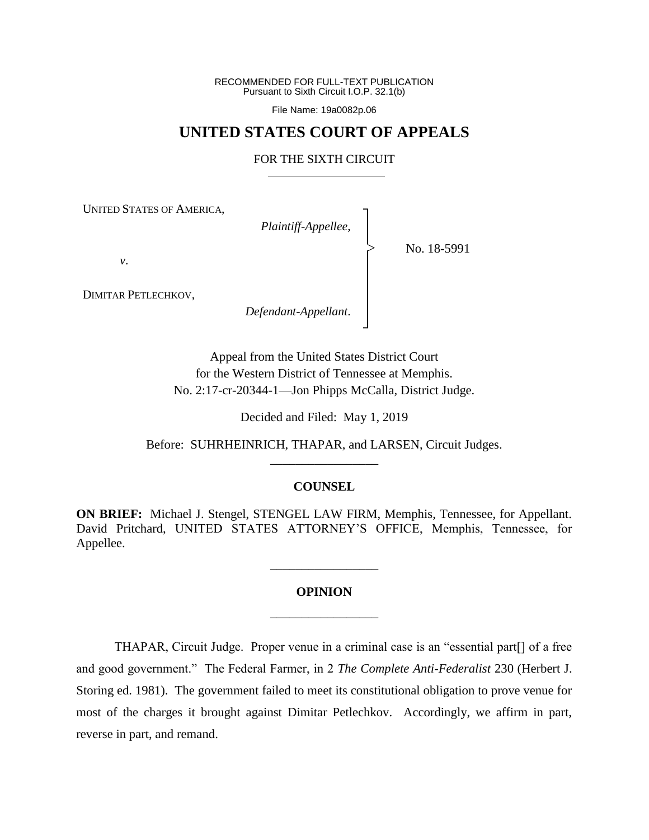RECOMMENDED FOR FULL-TEXT PUBLICATION Pursuant to Sixth Circuit I.O.P. 32.1(b)

File Name: 19a0082p.06

## **UNITED STATES COURT OF APPEALS**

## FOR THE SIXTH CIRCUIT

┐ │ │ │ │ │ │ │ ┘

|<br>|<br>|

UNITED STATES OF AMERICA,

*Plaintiff-Appellee*,

No. 18-5991

*v*.

DIMITAR PETLECHKOV,

*Defendant-Appellant*.

Appeal from the United States District Court for the Western District of Tennessee at Memphis. No. 2:17-cr-20344-1—Jon Phipps McCalla, District Judge.

Decided and Filed: May 1, 2019

Before: SUHRHEINRICH, THAPAR, and LARSEN, Circuit Judges. \_\_\_\_\_\_\_\_\_\_\_\_\_\_\_\_\_

## **COUNSEL**

**ON BRIEF:** Michael J. Stengel, STENGEL LAW FIRM, Memphis, Tennessee, for Appellant. David Pritchard, UNITED STATES ATTORNEY'S OFFICE, Memphis, Tennessee, for Appellee.

# **OPINION** \_\_\_\_\_\_\_\_\_\_\_\_\_\_\_\_\_

\_\_\_\_\_\_\_\_\_\_\_\_\_\_\_\_\_

THAPAR, Circuit Judge. Proper venue in a criminal case is an "essential part[] of a free and good government." The Federal Farmer, in 2 *The Complete Anti-Federalist* 230 (Herbert J. Storing ed. 1981). The government failed to meet its constitutional obligation to prove venue for most of the charges it brought against Dimitar Petlechkov. Accordingly, we affirm in part, reverse in part, and remand.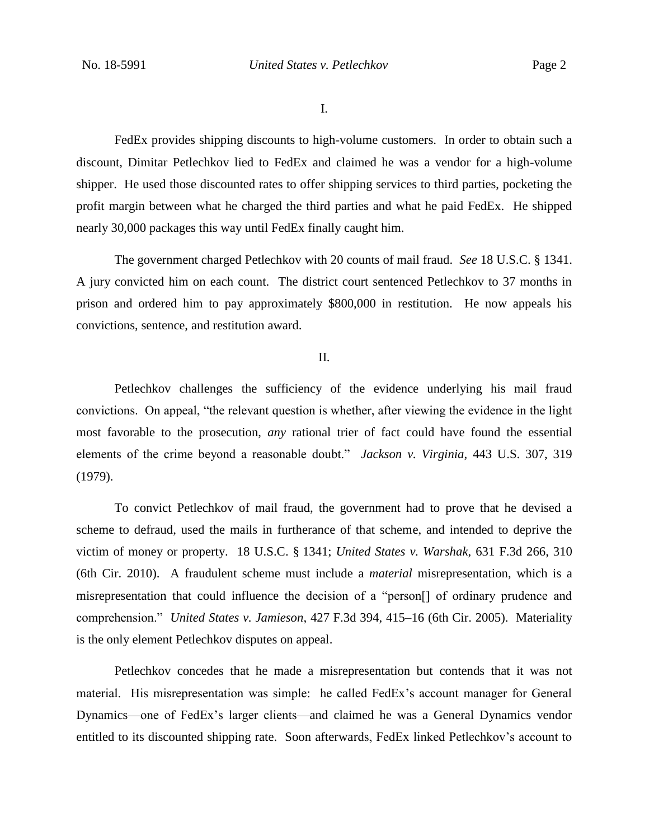I.

FedEx provides shipping discounts to high-volume customers. In order to obtain such a discount, Dimitar Petlechkov lied to FedEx and claimed he was a vendor for a high-volume shipper. He used those discounted rates to offer shipping services to third parties, pocketing the profit margin between what he charged the third parties and what he paid FedEx. He shipped nearly 30,000 packages this way until FedEx finally caught him.

The government charged Petlechkov with 20 counts of mail fraud. *See* 18 U.S.C. § 1341. A jury convicted him on each count. The district court sentenced Petlechkov to 37 months in prison and ordered him to pay approximately \$800,000 in restitution. He now appeals his convictions, sentence, and restitution award.

## II.

Petlechkov challenges the sufficiency of the evidence underlying his mail fraud convictions. On appeal, "the relevant question is whether, after viewing the evidence in the light most favorable to the prosecution, *any* rational trier of fact could have found the essential elements of the crime beyond a reasonable doubt." *Jackson v. Virginia*, 443 U.S. 307, 319 (1979).

To convict Petlechkov of mail fraud, the government had to prove that he devised a scheme to defraud, used the mails in furtherance of that scheme, and intended to deprive the victim of money or property. 18 U.S.C. § 1341; *United States v. Warshak*, 631 F.3d 266, 310 (6th Cir. 2010). A fraudulent scheme must include a *material* misrepresentation, which is a misrepresentation that could influence the decision of a "person[] of ordinary prudence and comprehension." *United States v. Jamieson*, 427 F.3d 394, 415–16 (6th Cir. 2005). Materiality is the only element Petlechkov disputes on appeal.

Petlechkov concedes that he made a misrepresentation but contends that it was not material. His misrepresentation was simple: he called FedEx's account manager for General Dynamics—one of FedEx's larger clients—and claimed he was a General Dynamics vendor entitled to its discounted shipping rate. Soon afterwards, FedEx linked Petlechkov's account to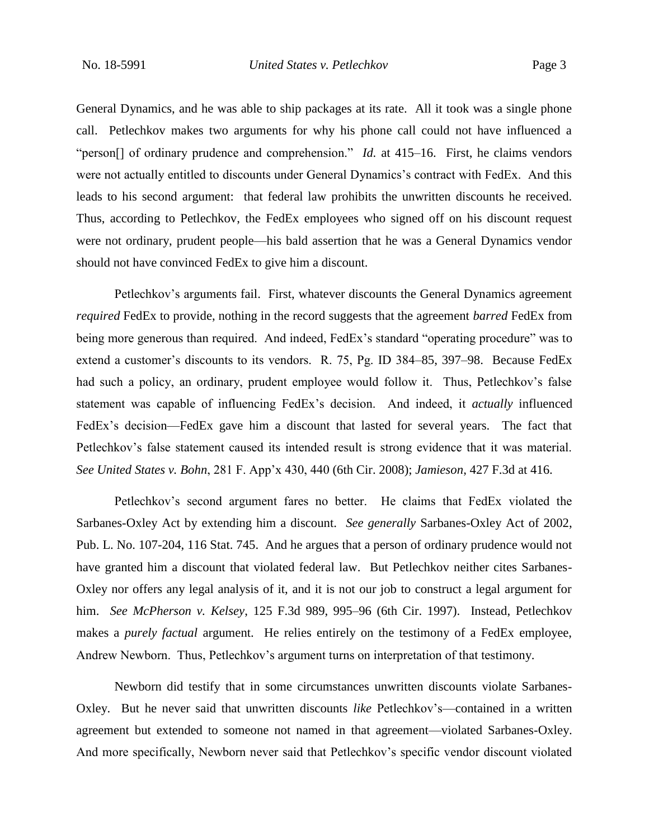General Dynamics, and he was able to ship packages at its rate. All it took was a single phone call. Petlechkov makes two arguments for why his phone call could not have influenced a "person<sup>[]</sup> of ordinary prudence and comprehension." *Id.* at 415–16. First, he claims vendors were not actually entitled to discounts under General Dynamics's contract with FedEx. And this leads to his second argument: that federal law prohibits the unwritten discounts he received. Thus, according to Petlechkov, the FedEx employees who signed off on his discount request were not ordinary, prudent people—his bald assertion that he was a General Dynamics vendor should not have convinced FedEx to give him a discount.

Petlechkov's arguments fail. First, whatever discounts the General Dynamics agreement *required* FedEx to provide, nothing in the record suggests that the agreement *barred* FedEx from being more generous than required. And indeed, FedEx's standard "operating procedure" was to extend a customer's discounts to its vendors. R. 75, Pg. ID 384–85, 397–98. Because FedEx had such a policy, an ordinary, prudent employee would follow it. Thus, Petlechkov's false statement was capable of influencing FedEx's decision. And indeed, it *actually* influenced FedEx's decision—FedEx gave him a discount that lasted for several years. The fact that Petlechkov's false statement caused its intended result is strong evidence that it was material. *See United States v. Bohn*, 281 F. App'x 430, 440 (6th Cir. 2008); *Jamieson*, 427 F.3d at 416.

Petlechkov's second argument fares no better. He claims that FedEx violated the Sarbanes-Oxley Act by extending him a discount. *See generally* Sarbanes-Oxley Act of 2002, Pub. L. No. 107-204, 116 Stat. 745.And he argues that a person of ordinary prudence would not have granted him a discount that violated federal law. But Petlechkov neither cites Sarbanes-Oxley nor offers any legal analysis of it, and it is not our job to construct a legal argument for him. *See McPherson v. Kelsey*, 125 F.3d 989, 995–96 (6th Cir. 1997). Instead, Petlechkov makes a *purely factual* argument. He relies entirely on the testimony of a FedEx employee, Andrew Newborn. Thus, Petlechkov's argument turns on interpretation of that testimony.

Newborn did testify that in some circumstances unwritten discounts violate Sarbanes-Oxley. But he never said that unwritten discounts *like* Petlechkov's—contained in a written agreement but extended to someone not named in that agreement—violated Sarbanes-Oxley. And more specifically, Newborn never said that Petlechkov's specific vendor discount violated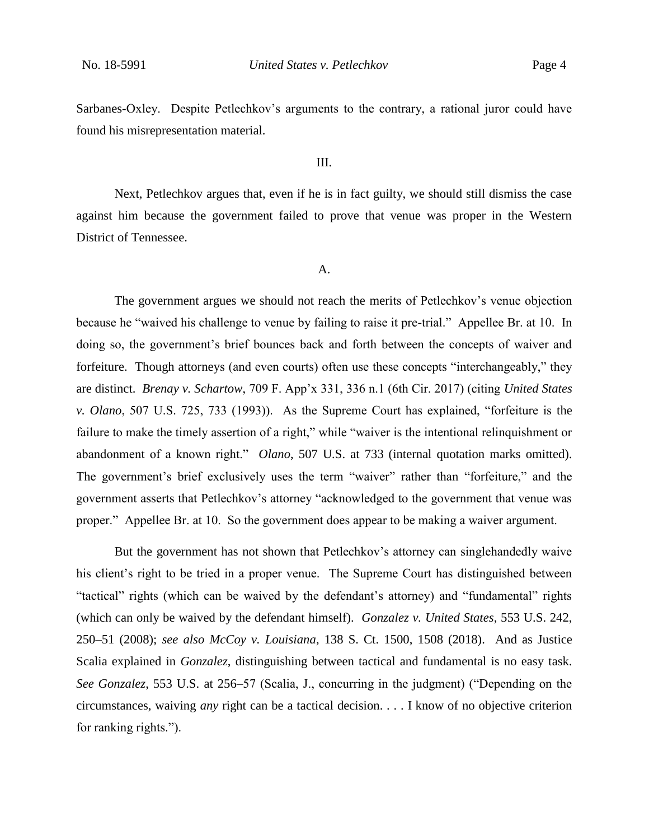Sarbanes-Oxley. Despite Petlechkov's arguments to the contrary, a rational juror could have found his misrepresentation material.

### III.

Next, Petlechkov argues that, even if he is in fact guilty, we should still dismiss the case against him because the government failed to prove that venue was proper in the Western District of Tennessee.

## A.

The government argues we should not reach the merits of Petlechkov's venue objection because he "waived his challenge to venue by failing to raise it pre-trial." Appellee Br. at 10. In doing so, the government's brief bounces back and forth between the concepts of waiver and forfeiture. Though attorneys (and even courts) often use these concepts "interchangeably," they are distinct. *Brenay v. Schartow*, 709 F. App'x 331, 336 n.1 (6th Cir. 2017) (citing *United States v. Olano*, 507 U.S. 725, 733 (1993)). As the Supreme Court has explained, "forfeiture is the failure to make the timely assertion of a right," while "waiver is the intentional relinquishment or abandonment of a known right." *Olano*, 507 U.S. at 733 (internal quotation marks omitted). The government's brief exclusively uses the term "waiver" rather than "forfeiture," and the government asserts that Petlechkov's attorney "acknowledged to the government that venue was proper." Appellee Br. at 10. So the government does appear to be making a waiver argument.

But the government has not shown that Petlechkov's attorney can singlehandedly waive his client's right to be tried in a proper venue. The Supreme Court has distinguished between "tactical" rights (which can be waived by the defendant's attorney) and "fundamental" rights (which can only be waived by the defendant himself). *Gonzalez v. United States*, 553 U.S. 242, 250–51 (2008); *see also McCoy v. Louisiana*, 138 S. Ct. 1500, 1508 (2018). And as Justice Scalia explained in *Gonzalez*, distinguishing between tactical and fundamental is no easy task. *See Gonzalez*, 553 U.S. at 256–57 (Scalia, J., concurring in the judgment) ("Depending on the circumstances, waiving *any* right can be a tactical decision. . . . I know of no objective criterion for ranking rights.").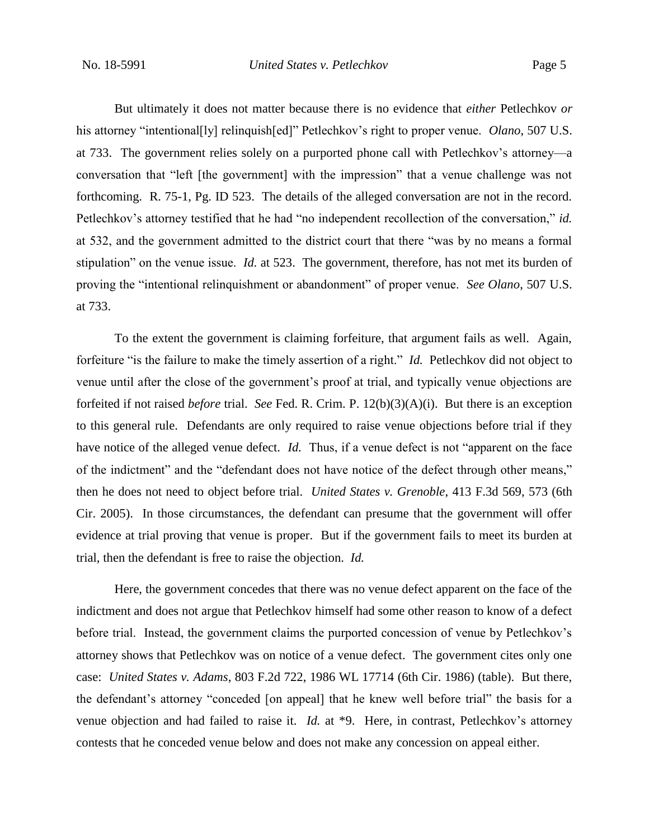But ultimately it does not matter because there is no evidence that *either* Petlechkov *or* his attorney "intentional[ly] relinquish[ed]" Petlechkov's right to proper venue. *Olano*, 507 U.S. at 733. The government relies solely on a purported phone call with Petlechkov's attorney—a conversation that "left [the government] with the impression" that a venue challenge was not forthcoming. R. 75-1, Pg. ID 523. The details of the alleged conversation are not in the record. Petlechkov's attorney testified that he had "no independent recollection of the conversation," *id.*  at 532, and the government admitted to the district court that there "was by no means a formal stipulation" on the venue issue. *Id.* at 523. The government, therefore, has not met its burden of proving the "intentional relinquishment or abandonment" of proper venue. *See Olano*, 507 U.S. at 733.

To the extent the government is claiming forfeiture, that argument fails as well. Again, forfeiture "is the failure to make the timely assertion of a right." *Id.* Petlechkov did not object to venue until after the close of the government's proof at trial, and typically venue objections are forfeited if not raised *before* trial. *See* Fed. R. Crim. P. 12(b)(3)(A)(i). But there is an exception to this general rule. Defendants are only required to raise venue objections before trial if they have notice of the alleged venue defect. *Id.* Thus, if a venue defect is not "apparent on the face of the indictment" and the "defendant does not have notice of the defect through other means," then he does not need to object before trial. *United States v. Grenoble*, 413 F.3d 569, 573 (6th Cir. 2005). In those circumstances, the defendant can presume that the government will offer evidence at trial proving that venue is proper. But if the government fails to meet its burden at trial, then the defendant is free to raise the objection. *Id.*

Here, the government concedes that there was no venue defect apparent on the face of the indictment and does not argue that Petlechkov himself had some other reason to know of a defect before trial. Instead, the government claims the purported concession of venue by Petlechkov's attorney shows that Petlechkov was on notice of a venue defect. The government cites only one case: *United States v. Adams*, 803 F.2d 722, 1986 WL 17714 (6th Cir. 1986) (table). But there, the defendant's attorney "conceded [on appeal] that he knew well before trial" the basis for a venue objection and had failed to raise it. *Id.* at \*9. Here, in contrast, Petlechkov's attorney contests that he conceded venue below and does not make any concession on appeal either.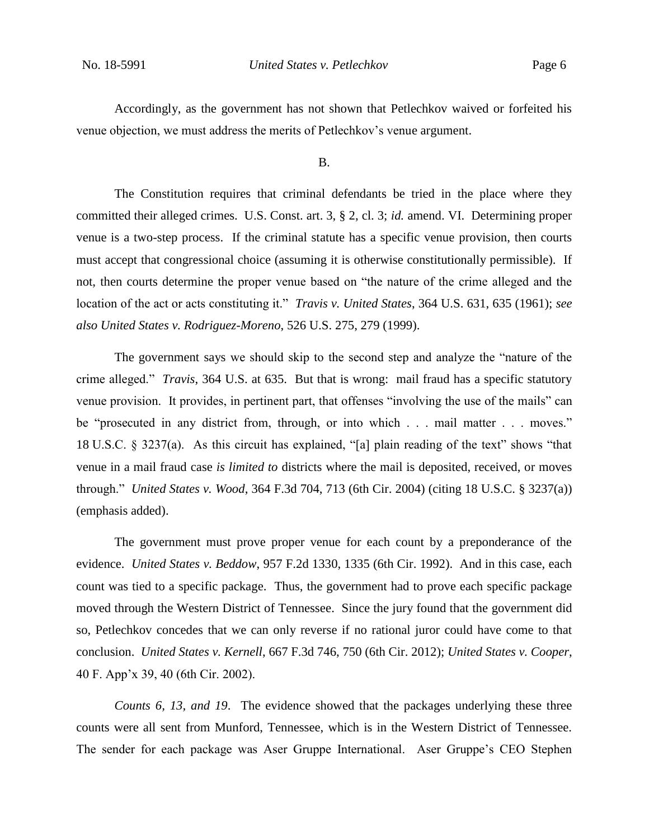Accordingly, as the government has not shown that Petlechkov waived or forfeited his venue objection, we must address the merits of Petlechkov's venue argument.

#### B.

The Constitution requires that criminal defendants be tried in the place where they committed their alleged crimes. U.S. Const. art. 3, § 2, cl. 3; *id.* amend. VI. Determining proper venue is a two-step process. If the criminal statute has a specific venue provision, then courts must accept that congressional choice (assuming it is otherwise constitutionally permissible). If not, then courts determine the proper venue based on "the nature of the crime alleged and the location of the act or acts constituting it." *Travis v. United States*, 364 U.S. 631, 635 (1961); *see also United States v. Rodriguez-Moreno*, 526 U.S. 275, 279 (1999).

The government says we should skip to the second step and analyze the "nature of the crime alleged." *Travis*, 364 U.S. at 635. But that is wrong: mail fraud has a specific statutory venue provision. It provides, in pertinent part, that offenses "involving the use of the mails" can be "prosecuted in any district from, through, or into which . . . mail matter . . . moves." 18 U.S.C. § 3237(a). As this circuit has explained, "[a] plain reading of the text" shows "that venue in a mail fraud case *is limited to* districts where the mail is deposited, received, or moves through." *United States v. Wood*, 364 F.3d 704, 713 (6th Cir. 2004) (citing 18 U.S.C. § 3237(a)) (emphasis added).

The government must prove proper venue for each count by a preponderance of the evidence. *United States v. Beddow*, 957 F.2d 1330, 1335 (6th Cir. 1992). And in this case, each count was tied to a specific package. Thus, the government had to prove each specific package moved through the Western District of Tennessee. Since the jury found that the government did so, Petlechkov concedes that we can only reverse if no rational juror could have come to that conclusion. *United States v. Kernell*, 667 F.3d 746, 750 (6th Cir. 2012); *United States v. Cooper*, 40 F. App'x 39, 40 (6th Cir. 2002).

*Counts 6, 13, and 19*. The evidence showed that the packages underlying these three counts were all sent from Munford, Tennessee, which is in the Western District of Tennessee. The sender for each package was Aser Gruppe International. Aser Gruppe's CEO Stephen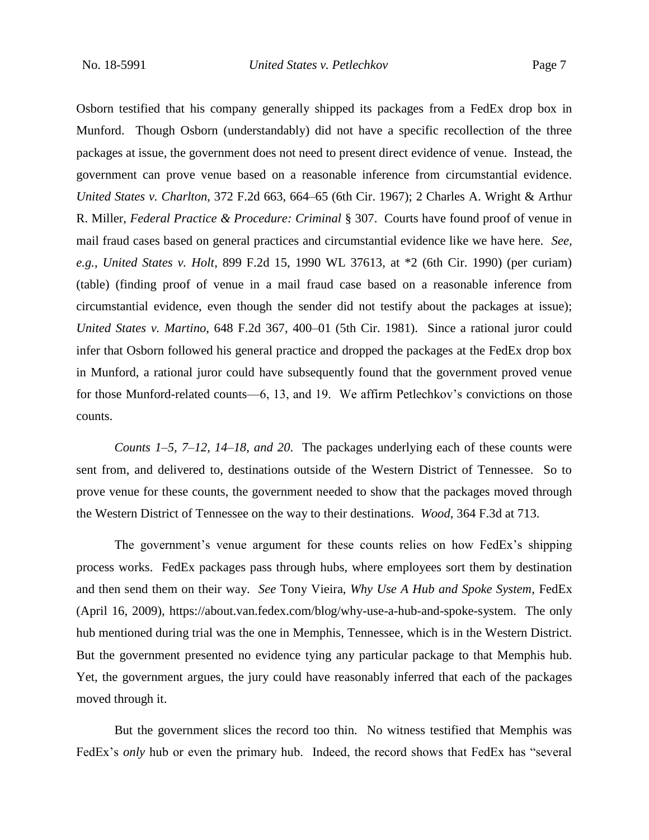Osborn testified that his company generally shipped its packages from a FedEx drop box in Munford. Though Osborn (understandably) did not have a specific recollection of the three packages at issue, the government does not need to present direct evidence of venue. Instead, the government can prove venue based on a reasonable inference from circumstantial evidence. *United States v. Charlton*, 372 F.2d 663, 664–65 (6th Cir. 1967); 2 Charles A. Wright & Arthur R. Miller, *Federal Practice & Procedure: Criminal* § 307. Courts have found proof of venue in mail fraud cases based on general practices and circumstantial evidence like we have here. *See, e.g.*, *United States v. Holt*, 899 F.2d 15, 1990 WL 37613, at \*2 (6th Cir. 1990) (per curiam) (table) (finding proof of venue in a mail fraud case based on a reasonable inference from circumstantial evidence, even though the sender did not testify about the packages at issue); *United States v. Martino*, 648 F.2d 367, 400–01 (5th Cir. 1981). Since a rational juror could infer that Osborn followed his general practice and dropped the packages at the FedEx drop box in Munford, a rational juror could have subsequently found that the government proved venue for those Munford-related counts—6, 13, and 19. We affirm Petlechkov's convictions on those counts.

*Counts 1–5, 7–12, 14–18, and 20*.The packages underlying each of these counts were sent from, and delivered to, destinations outside of the Western District of Tennessee. So to prove venue for these counts, the government needed to show that the packages moved through the Western District of Tennessee on the way to their destinations. *Wood*, 364 F.3d at 713.

The government's venue argument for these counts relies on how FedEx's shipping process works. FedEx packages pass through hubs, where employees sort them by destination and then send them on their way. *See* Tony Vieira, *Why Use A Hub and Spoke System*, FedEx (April 16, 2009), https://about.van.fedex.com/blog/why-use-a-hub-and-spoke-system. The only hub mentioned during trial was the one in Memphis, Tennessee, which is in the Western District. But the government presented no evidence tying any particular package to that Memphis hub. Yet, the government argues, the jury could have reasonably inferred that each of the packages moved through it.

But the government slices the record too thin. No witness testified that Memphis was FedEx's *only* hub or even the primary hub. Indeed, the record shows that FedEx has "several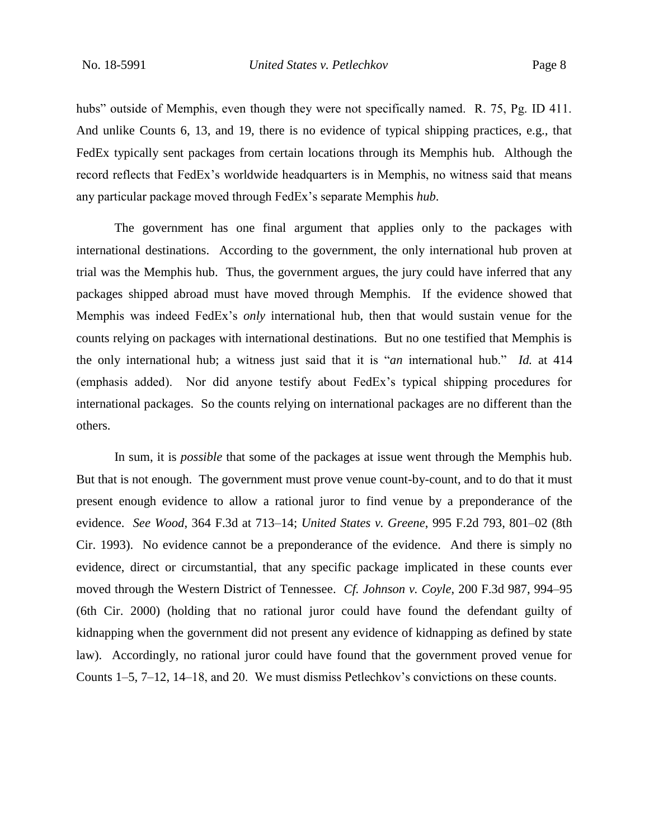hubs" outside of Memphis, even though they were not specifically named. R. 75, Pg. ID 411. And unlike Counts 6, 13, and 19, there is no evidence of typical shipping practices, e.g., that FedEx typically sent packages from certain locations through its Memphis hub. Although the record reflects that FedEx's worldwide headquarters is in Memphis, no witness said that means any particular package moved through FedEx's separate Memphis *hub*.

The government has one final argument that applies only to the packages with international destinations. According to the government, the only international hub proven at trial was the Memphis hub. Thus, the government argues, the jury could have inferred that any packages shipped abroad must have moved through Memphis. If the evidence showed that Memphis was indeed FedEx's *only* international hub, then that would sustain venue for the counts relying on packages with international destinations. But no one testified that Memphis is the only international hub; a witness just said that it is "*an* international hub." *Id.* at 414 (emphasis added). Nor did anyone testify about FedEx's typical shipping procedures for international packages. So the counts relying on international packages are no different than the others.

In sum, it is *possible* that some of the packages at issue went through the Memphis hub. But that is not enough. The government must prove venue count-by-count, and to do that it must present enough evidence to allow a rational juror to find venue by a preponderance of the evidence. *See Wood*, 364 F.3d at 713–14; *United States v. Greene*, 995 F.2d 793, 801–02 (8th Cir. 1993). No evidence cannot be a preponderance of the evidence. And there is simply no evidence, direct or circumstantial, that any specific package implicated in these counts ever moved through the Western District of Tennessee. *Cf. Johnson v. Coyle*, 200 F.3d 987, 994–95 (6th Cir. 2000) (holding that no rational juror could have found the defendant guilty of kidnapping when the government did not present any evidence of kidnapping as defined by state law). Accordingly, no rational juror could have found that the government proved venue for Counts 1–5, 7–12, 14–18, and 20. We must dismiss Petlechkov's convictions on these counts.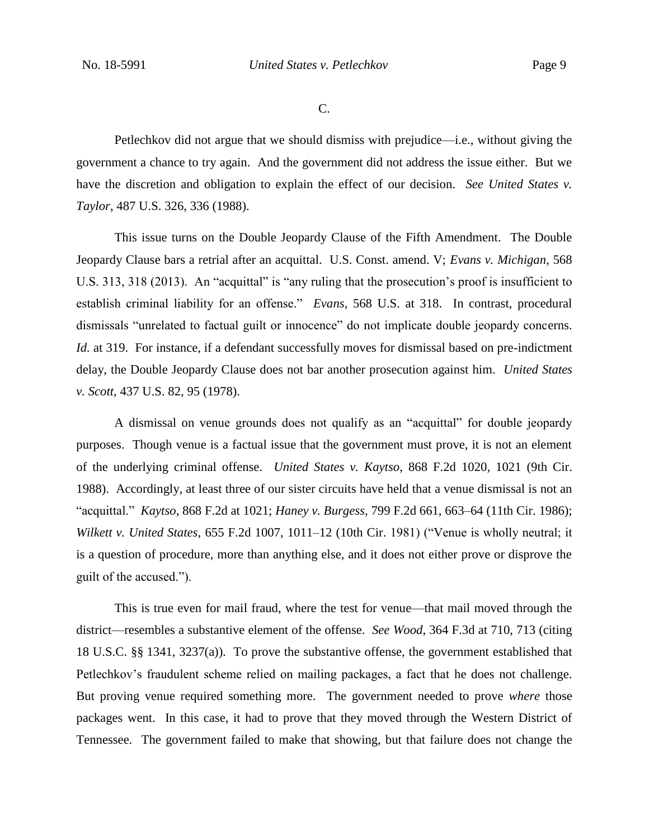C.

Petlechkov did not argue that we should dismiss with prejudice—i.e., without giving the government a chance to try again. And the government did not address the issue either. But we have the discretion and obligation to explain the effect of our decision. *See United States v. Taylor*, 487 U.S. 326, 336 (1988).

This issue turns on the Double Jeopardy Clause of the Fifth Amendment. The Double Jeopardy Clause bars a retrial after an acquittal. U.S. Const. amend. V; *Evans v. Michigan*, 568 U.S. 313, 318 (2013). An "acquittal" is "any ruling that the prosecution's proof is insufficient to establish criminal liability for an offense." *Evans*, 568 U.S. at 318. In contrast, procedural dismissals "unrelated to factual guilt or innocence" do not implicate double jeopardy concerns. *Id.* at 319. For instance, if a defendant successfully moves for dismissal based on pre-indictment delay, the Double Jeopardy Clause does not bar another prosecution against him. *United States v. Scott*, 437 U.S. 82, 95 (1978).

A dismissal on venue grounds does not qualify as an "acquittal" for double jeopardy purposes. Though venue is a factual issue that the government must prove, it is not an element of the underlying criminal offense. *United States v. Kaytso*, 868 F.2d 1020, 1021 (9th Cir. 1988). Accordingly, at least three of our sister circuits have held that a venue dismissal is not an "acquittal." *Kaytso*, 868 F.2d at 1021; *Haney v. Burgess*, 799 F.2d 661, 663–64 (11th Cir. 1986); *Wilkett v. United States*, 655 F.2d 1007, 1011–12 (10th Cir. 1981) ("Venue is wholly neutral; it is a question of procedure, more than anything else, and it does not either prove or disprove the guilt of the accused.").

This is true even for mail fraud, where the test for venue—that mail moved through the district—resembles a substantive element of the offense. *See Wood*, 364 F.3d at 710, 713 (citing 18 U.S.C. §§ 1341, 3237(a)). To prove the substantive offense, the government established that Petlechkov's fraudulent scheme relied on mailing packages, a fact that he does not challenge. But proving venue required something more. The government needed to prove *where* those packages went. In this case, it had to prove that they moved through the Western District of Tennessee. The government failed to make that showing, but that failure does not change the